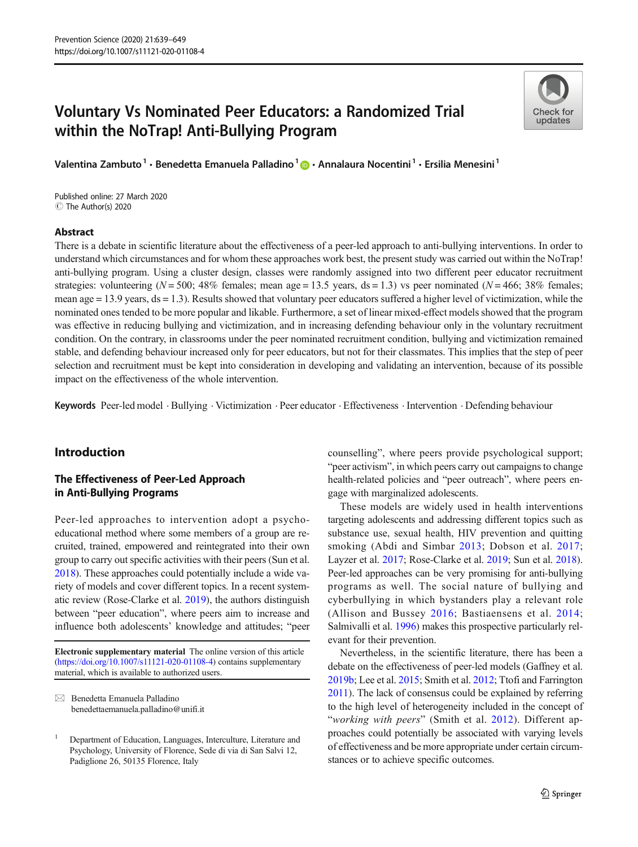# Voluntary Vs Nominated Peer Educators: a Randomized Trial within the NoTrap! Anti-Bullying Program

Check for undates

Valentina Zambuto<sup>1</sup> · Benedetta Emanuela Palladino<sup>1</sup> @ · Annalaura Nocentini<sup>1</sup> · Ersilia Menesini<sup>1</sup>

C The Author(s) 2020 Published online: 27 March 2020

# Abstract

There is a debate in scientific literature about the effectiveness of a peer-led approach to anti-bullying interventions. In order to understand which circumstances and for whom these approaches work best, the present study was carried out within the NoTrap! anti-bullying program. Using a cluster design, classes were randomly assigned into two different peer educator recruitment strategies: volunteering ( $N = 500$ ; 48% females; mean age = 13.5 years, ds = 1.3) vs peer nominated ( $N = 466$ ; 38% females; mean age  $= 13.9$  years,  $ds = 1.3$ ). Results showed that voluntary peer educators suffered a higher level of victimization, while the nominated ones tended to be more popular and likable. Furthermore, a set of linear mixed-effect models showed that the program was effective in reducing bullying and victimization, and in increasing defending behaviour only in the voluntary recruitment condition. On the contrary, in classrooms under the peer nominated recruitment condition, bullying and victimization remained stable, and defending behaviour increased only for peer educators, but not for their classmates. This implies that the step of peer selection and recruitment must be kept into consideration in developing and validating an intervention, because of its possible impact on the effectiveness of the whole intervention.

Keywords Peer-led model . Bullying . Victimization . Peer educator . Effectiveness . Intervention . Defending behaviour

# Introduction

# The Effectiveness of Peer-Led Approach in Anti-Bullying Programs

Peer-led approaches to intervention adopt a psychoeducational method where some members of a group are recruited, trained, empowered and reintegrated into their own group to carry out specific activities with their peers (Sun et al. [2018\)](#page-10-0). These approaches could potentially include a wide variety of models and cover different topics. In a recent systematic review (Rose-Clarke et al. [2019](#page-10-0)), the authors distinguish between "peer education", where peers aim to increase and influence both adolescents' knowledge and attitudes; "peer

Electronic supplementary material The online version of this article ([https://doi.org/10.1007/s11121-020-01108-4\)](https://doi.org/10.1007/s11121-020-01108-4) contains supplementary material, which is available to authorized users.

 $\boxtimes$  Benedetta Emanuela Palladino [benedettaemanuela.palladino@unifi.it](mailto:benedettaemanuela.palladino@unifi.it) counselling", where peers provide psychological support; "peer activism", in which peers carry out campaigns to change health-related policies and "peer outreach", where peers engage with marginalized adolescents.

These models are widely used in health interventions targeting adolescents and addressing different topics such as substance use, sexual health, HIV prevention and quitting smoking (Abdi and Simbar [2013](#page-9-0); Dobson et al. [2017;](#page-9-0) Layzer et al. [2017;](#page-10-0) Rose-Clarke et al. [2019](#page-10-0); Sun et al. [2018\)](#page-10-0). Peer-led approaches can be very promising for anti-bullying programs as well. The social nature of bullying and cyberbullying in which bystanders play a relevant role (Allison and Bussey [2016](#page-9-0); Bastiaensens et al. [2014;](#page-9-0) Salmivalli et al. [1996\)](#page-10-0) makes this prospective particularly relevant for their prevention.

Nevertheless, in the scientific literature, there has been a debate on the effectiveness of peer-led models (Gaffney et al. [2019b;](#page-9-0) Lee et al. [2015;](#page-10-0) Smith et al. [2012](#page-10-0); Ttofi and Farrington [2011](#page-10-0)). The lack of consensus could be explained by referring to the high level of heterogeneity included in the concept of "working with peers" (Smith et al. [2012\)](#page-10-0). Different approaches could potentially be associated with varying levels of effectiveness and be more appropriate under certain circumstances or to achieve specific outcomes.

<sup>1</sup> Department of Education, Languages, Interculture, Literature and Psychology, University of Florence, Sede di via di San Salvi 12, Padiglione 26, 50135 Florence, Italy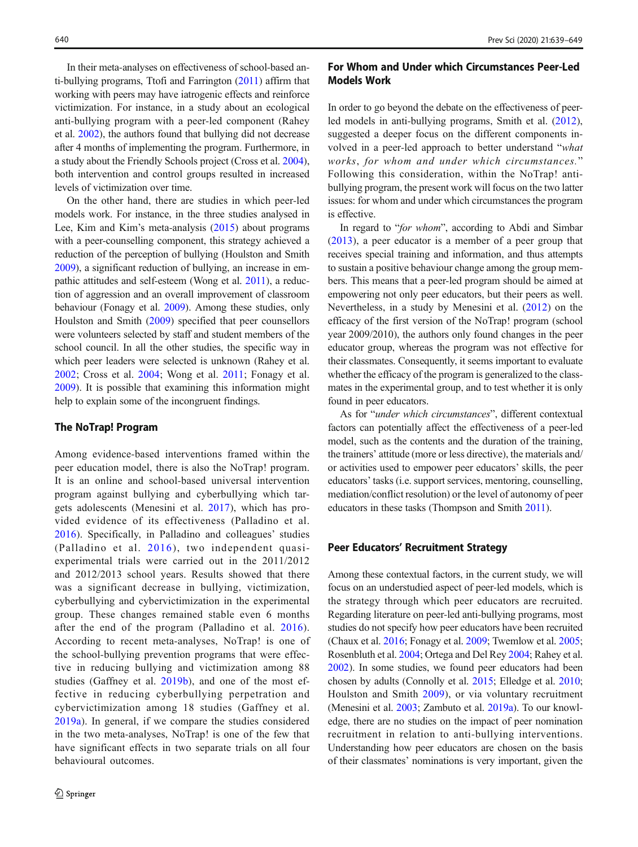In their meta-analyses on effectiveness of school-based anti-bullying programs, Ttofi and Farrington ([2011\)](#page-10-0) affirm that working with peers may have iatrogenic effects and reinforce victimization. For instance, in a study about an ecological anti-bullying program with a peer-led component (Rahey et al. [2002\)](#page-10-0), the authors found that bullying did not decrease after 4 months of implementing the program. Furthermore, in a study about the Friendly Schools project (Cross et al. [2004\)](#page-9-0), both intervention and control groups resulted in increased levels of victimization over time.

On the other hand, there are studies in which peer-led models work. For instance, in the three studies analysed in Lee, Kim and Kim's meta-analysis ([2015](#page-10-0)) about programs with a peer-counselling component, this strategy achieved a reduction of the perception of bullying (Houlston and Smith [2009\)](#page-9-0), a significant reduction of bullying, an increase in empathic attitudes and self-esteem (Wong et al. [2011](#page-10-0)), a reduction of aggression and an overall improvement of classroom behaviour (Fonagy et al. [2009\)](#page-9-0). Among these studies, only Houlston and Smith [\(2009](#page-9-0)) specified that peer counsellors were volunteers selected by staff and student members of the school council. In all the other studies, the specific way in which peer leaders were selected is unknown (Rahey et al. [2002](#page-10-0); Cross et al. [2004](#page-9-0); Wong et al. [2011;](#page-10-0) Fonagy et al. [2009\)](#page-9-0). It is possible that examining this information might help to explain some of the incongruent findings.

## The NoTrap! Program

Among evidence-based interventions framed within the peer education model, there is also the NoTrap! program. It is an online and school-based universal intervention program against bullying and cyberbullying which targets adolescents (Menesini et al. [2017\)](#page-10-0), which has provided evidence of its effectiveness (Palladino et al. [2016](#page-10-0)). Specifically, in Palladino and colleagues' studies (Palladino et al. [2016](#page-10-0)), two independent quasiexperimental trials were carried out in the 2011/2012 and 2012/2013 school years. Results showed that there was a significant decrease in bullying, victimization, cyberbullying and cybervictimization in the experimental group. These changes remained stable even 6 months after the end of the program (Palladino et al. [2016](#page-10-0)). According to recent meta-analyses, NoTrap! is one of the school-bullying prevention programs that were effective in reducing bullying and victimization among 88 studies (Gaffney et al. [2019b\)](#page-9-0), and one of the most effective in reducing cyberbullying perpetration and cybervictimization among 18 studies (Gaffney et al. [2019a\)](#page-9-0). In general, if we compare the studies considered in the two meta-analyses, NoTrap! is one of the few that have significant effects in two separate trials on all four behavioural outcomes.

# For Whom and Under which Circumstances Peer-Led Models Work

In order to go beyond the debate on the effectiveness of peerled models in anti-bullying programs, Smith et al. ([2012\)](#page-10-0), suggested a deeper focus on the different components involved in a peer-led approach to better understand "what works, for whom and under which circumstances." Following this consideration, within the NoTrap! antibullying program, the present work will focus on the two latter issues: for whom and under which circumstances the program is effective.

In regard to "for whom", according to Abdi and Simbar [\(2013](#page-9-0)), a peer educator is a member of a peer group that receives special training and information, and thus attempts to sustain a positive behaviour change among the group members. This means that a peer-led program should be aimed at empowering not only peer educators, but their peers as well. Nevertheless, in a study by Menesini et al. [\(2012](#page-10-0)) on the efficacy of the first version of the NoTrap! program (school year 2009/2010), the authors only found changes in the peer educator group, whereas the program was not effective for their classmates. Consequently, it seems important to evaluate whether the efficacy of the program is generalized to the classmates in the experimental group, and to test whether it is only found in peer educators.

As for "under which circumstances", different contextual factors can potentially affect the effectiveness of a peer-led model, such as the contents and the duration of the training, the trainers' attitude (more or less directive), the materials and/ or activities used to empower peer educators' skills, the peer educators' tasks (i.e. support services, mentoring, counselling, mediation/conflict resolution) or the level of autonomy of peer educators in these tasks (Thompson and Smith [2011\)](#page-10-0).

#### Peer Educators' Recruitment Strategy

Among these contextual factors, in the current study, we will focus on an understudied aspect of peer-led models, which is the strategy through which peer educators are recruited. Regarding literature on peer-led anti-bullying programs, most studies do not specify how peer educators have been recruited (Chaux et al. [2016;](#page-9-0) Fonagy et al. [2009;](#page-9-0) Twemlow et al. [2005;](#page-10-0) Rosenbluth et al. [2004](#page-10-0); Ortega and Del Rey [2004](#page-10-0); Rahey et al. [2002\)](#page-10-0). In some studies, we found peer educators had been chosen by adults (Connolly et al. [2015;](#page-9-0) Elledge et al. [2010;](#page-9-0) Houlston and Smith [2009](#page-9-0)), or via voluntary recruitment (Menesini et al. [2003;](#page-10-0) Zambuto et al. [2019a](#page-10-0)). To our knowledge, there are no studies on the impact of peer nomination recruitment in relation to anti-bullying interventions. Understanding how peer educators are chosen on the basis of their classmates' nominations is very important, given the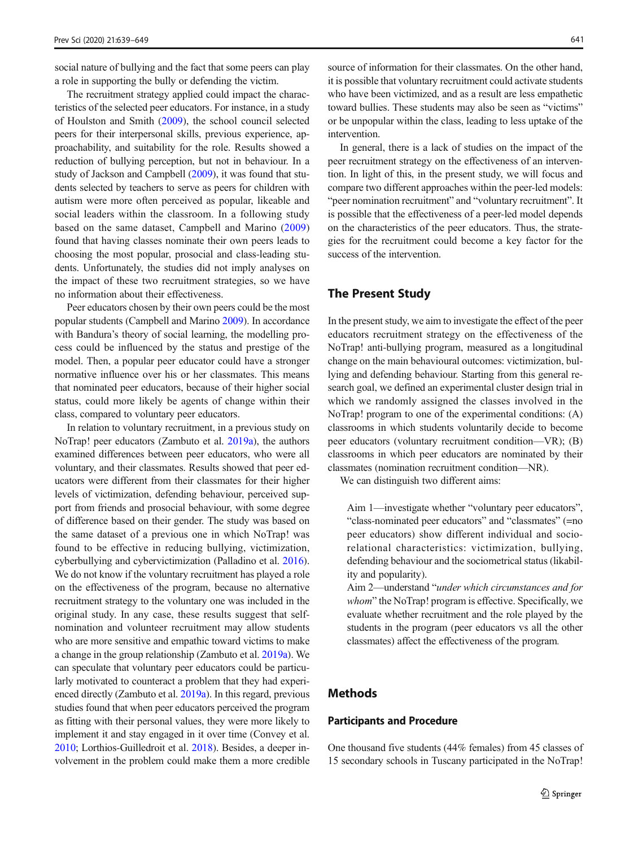social nature of bullying and the fact that some peers can play a role in supporting the bully or defending the victim.

The recruitment strategy applied could impact the characteristics of the selected peer educators. For instance, in a study of Houlston and Smith ([2009\)](#page-9-0), the school council selected peers for their interpersonal skills, previous experience, approachability, and suitability for the role. Results showed a reduction of bullying perception, but not in behaviour. In a study of Jackson and Campbell [\(2009](#page-10-0)), it was found that students selected by teachers to serve as peers for children with autism were more often perceived as popular, likeable and social leaders within the classroom. In a following study based on the same dataset, Campbell and Marino ([2009\)](#page-9-0) found that having classes nominate their own peers leads to choosing the most popular, prosocial and class-leading students. Unfortunately, the studies did not imply analyses on the impact of these two recruitment strategies, so we have no information about their effectiveness.

Peer educators chosen by their own peers could be the most popular students (Campbell and Marino [2009](#page-9-0)). In accordance with Bandura's theory of social learning, the modelling process could be influenced by the status and prestige of the model. Then, a popular peer educator could have a stronger normative influence over his or her classmates. This means that nominated peer educators, because of their higher social status, could more likely be agents of change within their class, compared to voluntary peer educators.

In relation to voluntary recruitment, in a previous study on NoTrap! peer educators (Zambuto et al. [2019a](#page-10-0)), the authors examined differences between peer educators, who were all voluntary, and their classmates. Results showed that peer educators were different from their classmates for their higher levels of victimization, defending behaviour, perceived support from friends and prosocial behaviour, with some degree of difference based on their gender. The study was based on the same dataset of a previous one in which NoTrap! was found to be effective in reducing bullying, victimization, cyberbullying and cybervictimization (Palladino et al. [2016\)](#page-10-0). We do not know if the voluntary recruitment has played a role on the effectiveness of the program, because no alternative recruitment strategy to the voluntary one was included in the original study. In any case, these results suggest that selfnomination and volunteer recruitment may allow students who are more sensitive and empathic toward victims to make a change in the group relationship (Zambuto et al. [2019a](#page-10-0)). We can speculate that voluntary peer educators could be particularly motivated to counteract a problem that they had experienced directly (Zambuto et al. [2019a](#page-10-0)). In this regard, previous studies found that when peer educators perceived the program as fitting with their personal values, they were more likely to implement it and stay engaged in it over time (Convey et al. [2010;](#page-9-0) Lorthios-Guilledroit et al. [2018\)](#page-10-0). Besides, a deeper involvement in the problem could make them a more credible source of information for their classmates. On the other hand, it is possible that voluntary recruitment could activate students who have been victimized, and as a result are less empathetic toward bullies. These students may also be seen as "victims" or be unpopular within the class, leading to less uptake of the intervention.

In general, there is a lack of studies on the impact of the peer recruitment strategy on the effectiveness of an intervention. In light of this, in the present study, we will focus and compare two different approaches within the peer-led models: "peer nomination recruitment" and "voluntary recruitment". It is possible that the effectiveness of a peer-led model depends on the characteristics of the peer educators. Thus, the strategies for the recruitment could become a key factor for the success of the intervention.

# The Present Study

In the present study, we aim to investigate the effect of the peer educators recruitment strategy on the effectiveness of the NoTrap! anti-bullying program, measured as a longitudinal change on the main behavioural outcomes: victimization, bullying and defending behaviour. Starting from this general research goal, we defined an experimental cluster design trial in which we randomly assigned the classes involved in the NoTrap! program to one of the experimental conditions: (A) classrooms in which students voluntarily decide to become peer educators (voluntary recruitment condition—VR); (B) classrooms in which peer educators are nominated by their classmates (nomination recruitment condition—NR).

We can distinguish two different aims:

Aim 1—investigate whether "voluntary peer educators", "class-nominated peer educators" and "classmates" (=no peer educators) show different individual and sociorelational characteristics: victimization, bullying, defending behaviour and the sociometrical status (likability and popularity).

Aim 2—understand "under which circumstances and for whom" the NoTrap! program is effective. Specifically, we evaluate whether recruitment and the role played by the students in the program (peer educators vs all the other classmates) affect the effectiveness of the program.

# Methods

## Participants and Procedure

One thousand five students (44% females) from 45 classes of 15 secondary schools in Tuscany participated in the NoTrap!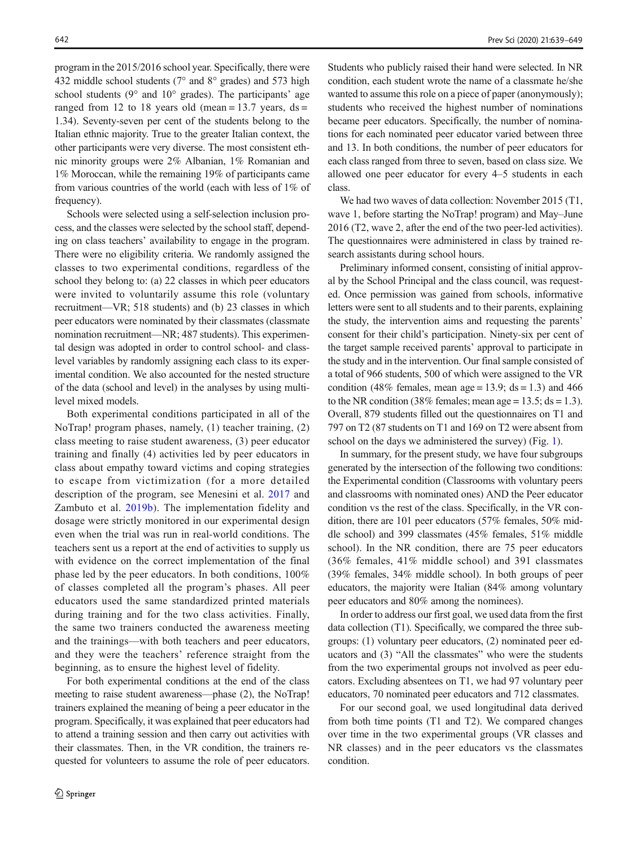program in the 2015/2016 school year. Specifically, there were 432 middle school students (7° and 8° grades) and 573 high school students ( $9^{\circ}$  and  $10^{\circ}$  grades). The participants' age ranged from 12 to 18 years old (mean =  $13.7$  years, ds = 1.34). Seventy-seven per cent of the students belong to the Italian ethnic majority. True to the greater Italian context, the other participants were very diverse. The most consistent ethnic minority groups were 2% Albanian, 1% Romanian and 1% Moroccan, while the remaining 19% of participants came from various countries of the world (each with less of 1% of frequency).

Schools were selected using a self-selection inclusion process, and the classes were selected by the school staff, depending on class teachers' availability to engage in the program. There were no eligibility criteria. We randomly assigned the classes to two experimental conditions, regardless of the school they belong to: (a) 22 classes in which peer educators were invited to voluntarily assume this role (voluntary recruitment—VR; 518 students) and (b) 23 classes in which peer educators were nominated by their classmates (classmate nomination recruitment—NR; 487 students). This experimental design was adopted in order to control school- and classlevel variables by randomly assigning each class to its experimental condition. We also accounted for the nested structure of the data (school and level) in the analyses by using multilevel mixed models.

Both experimental conditions participated in all of the NoTrap! program phases, namely, (1) teacher training, (2) class meeting to raise student awareness, (3) peer educator training and finally (4) activities led by peer educators in class about empathy toward victims and coping strategies to escape from victimization (for a more detailed description of the program, see Menesini et al. [2017](#page-10-0) and Zambuto et al. [2019b\)](#page-10-0). The implementation fidelity and dosage were strictly monitored in our experimental design even when the trial was run in real-world conditions. The teachers sent us a report at the end of activities to supply us with evidence on the correct implementation of the final phase led by the peer educators. In both conditions, 100% of classes completed all the program's phases. All peer educators used the same standardized printed materials during training and for the two class activities. Finally, the same two trainers conducted the awareness meeting and the trainings—with both teachers and peer educators, and they were the teachers' reference straight from the beginning, as to ensure the highest level of fidelity.

For both experimental conditions at the end of the class meeting to raise student awareness—phase (2), the NoTrap! trainers explained the meaning of being a peer educator in the program. Specifically, it was explained that peer educators had to attend a training session and then carry out activities with their classmates. Then, in the VR condition, the trainers requested for volunteers to assume the role of peer educators. Students who publicly raised their hand were selected. In NR condition, each student wrote the name of a classmate he/she wanted to assume this role on a piece of paper (anonymously); students who received the highest number of nominations became peer educators. Specifically, the number of nominations for each nominated peer educator varied between three and 13. In both conditions, the number of peer educators for each class ranged from three to seven, based on class size. We allowed one peer educator for every 4–5 students in each class.

We had two waves of data collection: November 2015 (T1, wave 1, before starting the NoTrap! program) and May–June 2016 (T2, wave 2, after the end of the two peer-led activities). The questionnaires were administered in class by trained research assistants during school hours.

Preliminary informed consent, consisting of initial approval by the School Principal and the class council, was requested. Once permission was gained from schools, informative letters were sent to all students and to their parents, explaining the study, the intervention aims and requesting the parents' consent for their child's participation. Ninety-six per cent of the target sample received parents' approval to participate in the study and in the intervention. Our final sample consisted of a total of 966 students, 500 of which were assigned to the VR condition (48% females, mean age = 13.9;  $ds = 1.3$ ) and 466 to the NR condition (38% females; mean age = 13.5;  $ds = 1.3$ ). Overall, 879 students filled out the questionnaires on T1 and 797 on T2 (87 students on T1 and 169 on T2 were absent from school on the days we administered the survey) (Fig. [1](#page-4-0)).

In summary, for the present study, we have four subgroups generated by the intersection of the following two conditions: the Experimental condition (Classrooms with voluntary peers and classrooms with nominated ones) AND the Peer educator condition vs the rest of the class. Specifically, in the VR condition, there are 101 peer educators (57% females, 50% middle school) and 399 classmates (45% females, 51% middle school). In the NR condition, there are 75 peer educators (36% females, 41% middle school) and 391 classmates (39% females, 34% middle school). In both groups of peer educators, the majority were Italian (84% among voluntary peer educators and 80% among the nominees).

In order to address our first goal, we used data from the first data collection (T1). Specifically, we compared the three subgroups: (1) voluntary peer educators, (2) nominated peer educators and (3) "All the classmates" who were the students from the two experimental groups not involved as peer educators. Excluding absentees on T1, we had 97 voluntary peer educators, 70 nominated peer educators and 712 classmates.

For our second goal, we used longitudinal data derived from both time points (T1 and T2). We compared changes over time in the two experimental groups (VR classes and NR classes) and in the peer educators vs the classmates condition.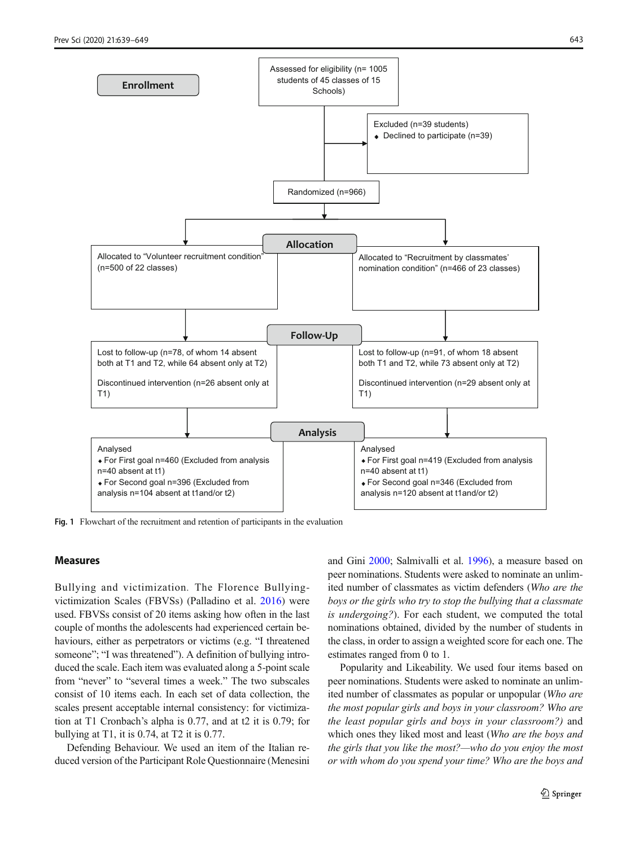<span id="page-4-0"></span>

Fig. 1 Flowchart of the recruitment and retention of participants in the evaluation

#### Measures

Bullying and victimization. The Florence Bullyingvictimization Scales (FBVSs) (Palladino et al. [2016\)](#page-10-0) were used. FBVSs consist of 20 items asking how often in the last couple of months the adolescents had experienced certain behaviours, either as perpetrators or victims (e.g. "I threatened someone"; "I was threatened"). A definition of bullying introduced the scale. Each item was evaluated along a 5-point scale from "never" to "several times a week." The two subscales consist of 10 items each. In each set of data collection, the scales present acceptable internal consistency: for victimization at T1 Cronbach's alpha is 0.77, and at t2 it is 0.79; for bullying at T1, it is 0.74, at T2 it is 0.77.

Defending Behaviour. We used an item of the Italian reduced version of the Participant Role Questionnaire (Menesini and Gini [2000](#page-10-0); Salmivalli et al. [1996](#page-10-0)), a measure based on peer nominations. Students were asked to nominate an unlimited number of classmates as victim defenders (Who are the boys or the girls who try to stop the bullying that a classmate is undergoing?). For each student, we computed the total nominations obtained, divided by the number of students in the class, in order to assign a weighted score for each one. The estimates ranged from 0 to 1.

Popularity and Likeability. We used four items based on peer nominations. Students were asked to nominate an unlimited number of classmates as popular or unpopular (Who are the most popular girls and boys in your classroom? Who are the least popular girls and boys in your classroom?) and which ones they liked most and least (Who are the boys and the girls that you like the most?—who do you enjoy the most or with whom do you spend your time? Who are the boys and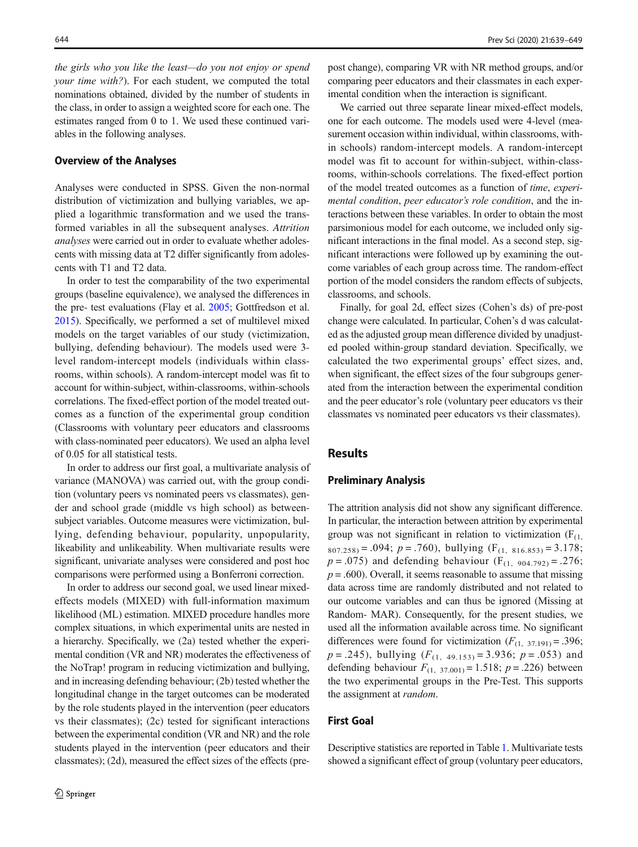the girls who you like the least—do you not enjoy or spend your time with?). For each student, we computed the total nominations obtained, divided by the number of students in the class, in order to assign a weighted score for each one. The estimates ranged from 0 to 1. We used these continued variables in the following analyses.

#### Overview of the Analyses

Analyses were conducted in SPSS. Given the non-normal distribution of victimization and bullying variables, we applied a logarithmic transformation and we used the transformed variables in all the subsequent analyses. Attrition analyses were carried out in order to evaluate whether adolescents with missing data at T2 differ significantly from adolescents with T1 and T2 data.

In order to test the comparability of the two experimental groups (baseline equivalence), we analysed the differences in the pre- test evaluations (Flay et al. [2005](#page-9-0); Gottfredson et al. [2015\)](#page-9-0). Specifically, we performed a set of multilevel mixed models on the target variables of our study (victimization, bullying, defending behaviour). The models used were 3 level random-intercept models (individuals within classrooms, within schools). A random-intercept model was fit to account for within-subject, within-classrooms, within-schools correlations. The fixed-effect portion of the model treated outcomes as a function of the experimental group condition (Classrooms with voluntary peer educators and classrooms with class-nominated peer educators). We used an alpha level of 0.05 for all statistical tests.

In order to address our first goal, a multivariate analysis of variance (MANOVA) was carried out, with the group condition (voluntary peers vs nominated peers vs classmates), gender and school grade (middle vs high school) as betweensubject variables. Outcome measures were victimization, bullying, defending behaviour, popularity, unpopularity, likeability and unlikeability. When multivariate results were significant, univariate analyses were considered and post hoc comparisons were performed using a Bonferroni correction.

In order to address our second goal, we used linear mixedeffects models (MIXED) with full-information maximum likelihood (ML) estimation. MIXED procedure handles more complex situations, in which experimental units are nested in a hierarchy. Specifically, we (2a) tested whether the experimental condition (VR and NR) moderates the effectiveness of the NoTrap! program in reducing victimization and bullying, and in increasing defending behaviour; (2b) tested whether the longitudinal change in the target outcomes can be moderated by the role students played in the intervention (peer educators vs their classmates); (2c) tested for significant interactions between the experimental condition (VR and NR) and the role students played in the intervention (peer educators and their classmates); (2d), measured the effect sizes of the effects (prepost change), comparing VR with NR method groups, and/or comparing peer educators and their classmates in each experimental condition when the interaction is significant.

We carried out three separate linear mixed-effect models. one for each outcome. The models used were 4-level (measurement occasion within individual, within classrooms, within schools) random-intercept models. A random-intercept model was fit to account for within-subject, within-classrooms, within-schools correlations. The fixed-effect portion of the model treated outcomes as a function of time, experimental condition, peer educator's role condition, and the interactions between these variables. In order to obtain the most parsimonious model for each outcome, we included only significant interactions in the final model. As a second step, significant interactions were followed up by examining the outcome variables of each group across time. The random-effect portion of the model considers the random effects of subjects, classrooms, and schools.

Finally, for goal 2d, effect sizes (Cohen's ds) of pre-post change were calculated. In particular, Cohen's d was calculated as the adjusted group mean difference divided by unadjusted pooled within-group standard deviation. Specifically, we calculated the two experimental groups' effect sizes, and, when significant, the effect sizes of the four subgroups generated from the interaction between the experimental condition and the peer educator's role (voluntary peer educators vs their classmates vs nominated peer educators vs their classmates).

# **Results**

#### Preliminary Analysis

The attrition analysis did not show any significant difference. In particular, the interaction between attrition by experimental group was not significant in relation to victimization  $(F_{(1)})$  $807.258$  = .094;  $p = .760$ , bullying  $(F_{(1, 816.853)} = 3.178;$  $p = .075$ ) and defending behaviour (F<sub>(1, 904.792)</sub> = .276;  $p = .600$ ). Overall, it seems reasonable to assume that missing data across time are randomly distributed and not related to our outcome variables and can thus be ignored (Missing at Random- MAR). Consequently, for the present studies, we used all the information available across time. No significant differences were found for victimization  $(F_{(1, 37.191)} = .396;$  $p = .245$ , bullying  $(F_{(1, 49.153)} = 3.936; p = .053)$  and defending behaviour  $F_{(1, 37.001)} = 1.518$ ;  $p = .226$ ) between the two experimental groups in the Pre-Test. This supports the assignment at *random*.

# First Goal

Descriptive statistics are reported in Table [1](#page-6-0). Multivariate tests showed a significant effect of group (voluntary peer educators,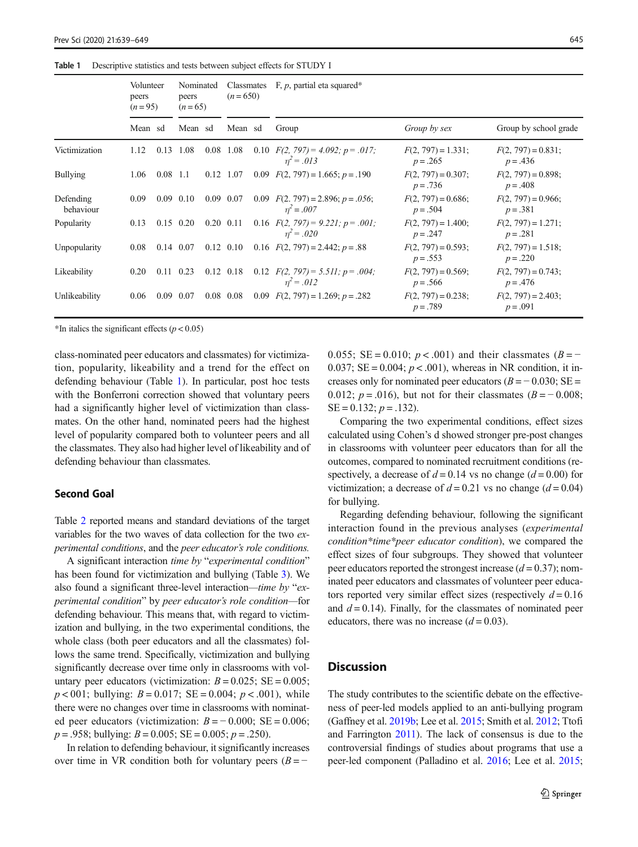#### <span id="page-6-0"></span>Table 1 Descriptive statistics and tests between subject effects for STUDY I

|                        | Volunteer<br>peers<br>$(n=95)$ |                   | Nominated<br>peers<br>$(n=65)$ |      | Classmates<br>$(n=650)$ |  | F, $p$ , partial eta squared*                              |                                     |                                     |  |  |  |
|------------------------|--------------------------------|-------------------|--------------------------------|------|-------------------------|--|------------------------------------------------------------|-------------------------------------|-------------------------------------|--|--|--|
|                        | Mean sd                        |                   | Mean sd                        |      | Mean sd                 |  | Group                                                      | Group by sex                        | Group by school grade               |  |  |  |
| Victimization          | 1.12                           | 0.13              | 1.08                           | 0.08 | 1.08                    |  | 0.10 $F(2, 797) = 4.092$ ; $p = .017$ ;<br>$n^2 = .013$    | $F(2, 797) = 1.331;$<br>$p = .265$  | $F(2, 797) = 0.831;$<br>$p = .436$  |  |  |  |
| <b>Bullying</b>        | 1.06                           | $0.08$ 1.1        |                                |      | 0.12 1.07               |  | 0.09 $F(2, 797) = 1.665$ ; $p = .190$                      | $F(2, 797) = 0.307$ ;<br>$p = .736$ | $F(2, 797) = 0.898$ ;<br>$p = .408$ |  |  |  |
| Defending<br>behaviour | 0.09                           |                   | $0.09$ 0.10                    |      | 0.09 0.07               |  | 0.09 $F(2, 797) = 2.896$ ; $p = .056$ ;<br>$n^2 = .007$    | $F(2, 797) = 0.686;$<br>$p = .504$  | $F(2, 797) = 0.966$ ;<br>$p = .381$ |  |  |  |
| Popularity             | 0.13                           | $0.15$ 0.20       |                                |      | $0.20 \quad 0.11$       |  | 0.16 $F(2, 797) = 9.221$ ; $p = .001$ ;<br>$n^2 = .020$    | $F(2, 797) = 1.400;$<br>$p = .247$  | $F(2, 797) = 1.271$ ;<br>$p = .281$ |  |  |  |
| Unpopularity           | 0.08                           | $0.14$ 0.07       |                                |      | $0.12$ 0.10             |  | 0.16 $F(2, 797) = 2.442$ ; $p = .88$                       | $F(2, 797) = 0.593;$<br>$p = .553$  | $F(2, 797) = 1.518;$<br>$p = .220$  |  |  |  |
| Likeability            | 0.20                           | $0.11 \quad 0.23$ |                                |      | $0.12$ 0.18             |  | 0.12 $F(2, 797) = 5.511$ ; $p = .004$ ;<br>$\eta^2 = .012$ | $F(2, 797) = 0.569$ ;<br>$p = .566$ | $F(2, 797) = 0.743$ ;<br>$p = .476$ |  |  |  |
| Unlikeability          | 0.06                           | 0.09 0.07         |                                |      | $0.08$ 0.08             |  | 0.09 $F(2, 797) = 1.269$ ; $p = .282$                      | $F(2, 797) = 0.238;$<br>$p = .789$  | $F(2, 797) = 2.403$ ;<br>$p = .091$ |  |  |  |

\*In italics the significant effects  $(p < 0.05)$ 

class-nominated peer educators and classmates) for victimization, popularity, likeability and a trend for the effect on defending behaviour (Table 1). In particular, post hoc tests with the Bonferroni correction showed that voluntary peers had a significantly higher level of victimization than classmates. On the other hand, nominated peers had the highest level of popularity compared both to volunteer peers and all the classmates. They also had higher level of likeability and of defending behaviour than classmates.

#### Second Goal

Table [2](#page-7-0) reported means and standard deviations of the target variables for the two waves of data collection for the two experimental conditions, and the peer educator's role conditions.

A significant interaction time by "experimental condition" has been found for victimization and bullying (Table [3\)](#page-7-0). We also found a significant three-level interaction—time by "experimental condition" by peer educator's role condition—for defending behaviour. This means that, with regard to victimization and bullying, in the two experimental conditions, the whole class (both peer educators and all the classmates) follows the same trend. Specifically, victimization and bullying significantly decrease over time only in classrooms with voluntary peer educators (victimization:  $B = 0.025$ ; SE = 0.005;  $p < 001$ ; bullying:  $B = 0.017$ ;  $SE = 0.004$ ;  $p < .001$ ), while there were no changes over time in classrooms with nominated peer educators (victimization:  $B = -0.000$ ; SE = 0.006;  $p = .958$ ; bullying:  $B = 0.005$ ;  $SE = 0.005$ ;  $p = .250$ ).

In relation to defending behaviour, it significantly increases over time in VR condition both for voluntary peers  $(B = -1)$ 

0.055; SE = 0.010;  $p < .001$ ) and their classmates ( $B = -$ 0.037;  $SE = 0.004$ ;  $p < .001$ ), whereas in NR condition, it increases only for nominated peer educators  $(B = -0.030; SE =$ 0.012;  $p = .016$ ), but not for their classmates ( $B = -0.008$ ;  $SE = 0.132$ ;  $p = .132$ ).

Comparing the two experimental conditions, effect sizes calculated using Cohen's d showed stronger pre-post changes in classrooms with volunteer peer educators than for all the outcomes, compared to nominated recruitment conditions (respectively, a decrease of  $d = 0.14$  vs no change  $(d = 0.00)$  for victimization; a decrease of  $d = 0.21$  vs no change  $(d = 0.04)$ for bullying.

Regarding defending behaviour, following the significant interaction found in the previous analyses (experimental condition\*time\*peer educator condition), we compared the effect sizes of four subgroups. They showed that volunteer peer educators reported the strongest increase  $(d = 0.37)$ ; nominated peer educators and classmates of volunteer peer educators reported very similar effect sizes (respectively  $d = 0.16$ ) and  $d = 0.14$ ). Finally, for the classmates of nominated peer educators, there was no increase  $(d = 0.03)$ .

# **Discussion**

The study contributes to the scientific debate on the effectiveness of peer-led models applied to an anti-bullying program (Gaffney et al. [2019b](#page-9-0); Lee et al. [2015;](#page-10-0) Smith et al. [2012](#page-10-0); Ttofi and Farrington [2011\)](#page-10-0). The lack of consensus is due to the controversial findings of studies about programs that use a peer-led component (Palladino et al. [2016](#page-10-0); Lee et al. [2015;](#page-10-0)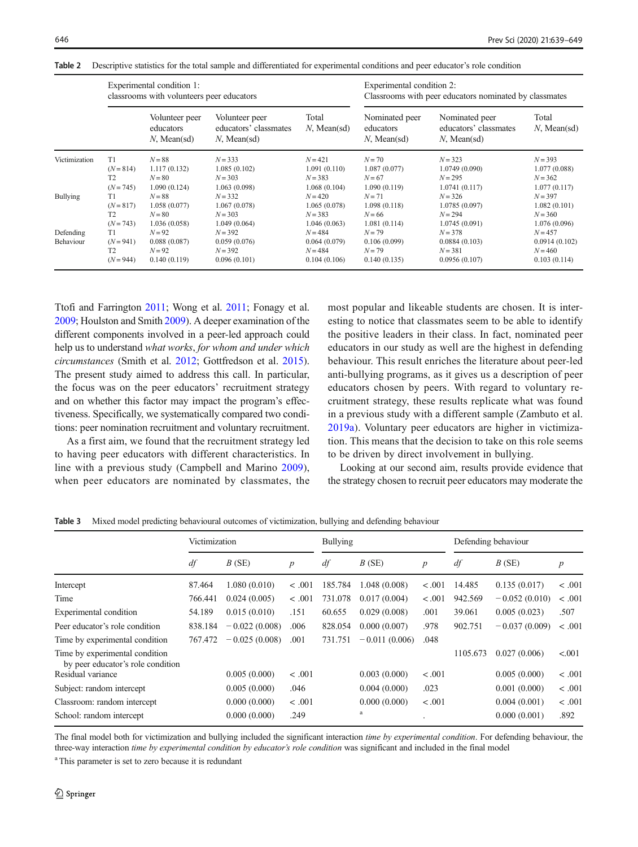|                        |                                                    | Experimental condition 1:<br>classrooms with volunteers peer educators |                                                           | Experimental condition 2:<br>Classrooms with peer educators nominated by classmates |                                                    |                                                           |                                                         |
|------------------------|----------------------------------------------------|------------------------------------------------------------------------|-----------------------------------------------------------|-------------------------------------------------------------------------------------|----------------------------------------------------|-----------------------------------------------------------|---------------------------------------------------------|
|                        |                                                    | Volunteer peer<br>educators<br>$N$ , Mean(sd)                          | Volunteer peer<br>educators' classmates<br>$N$ , Mean(sd) | Total<br>$N$ , Mean(sd)                                                             | Nominated peer<br>educators<br>$N$ , Mean(sd)      | Nominated peer<br>educators' classmates<br>$N$ , Mean(sd) | Total<br>$N$ , Mean(sd)                                 |
| Victimization          | T1<br>$(N = 814)$<br>T <sub>2</sub><br>$(N = 745)$ | $N = 88$<br>1.117(0.132)<br>$N = 80$<br>1.090(0.124)                   | $N = 333$<br>1.085(0.102)<br>$N = 303$<br>1.063(0.098)    | $N = 421$<br>1.091(0.110)<br>$N = 383$<br>1.068(0.104)                              | $N = 70$<br>1.087(0.077)<br>$N=67$<br>1.090(0.119) | $N = 323$<br>1.0749(0.090)<br>$N = 295$<br>1.0741(0.117)  | $N = 393$<br>1.077(0.088)<br>$N = 362$<br>1.077(0.117)  |
| <b>Bullying</b>        | T1<br>$(N = 817)$<br>T <sub>2</sub><br>$(N = 743)$ | $N = 88$<br>1.058(0.077)<br>$N = 80$<br>1.036(0.058)                   | $N = 332$<br>1.067(0.078)<br>$N = 303$<br>1.049(0.064)    | $N = 420$<br>1.065(0.078)<br>$N = 383$<br>1.046(0.063)                              | $N=71$<br>1.098(0.118)<br>$N=66$<br>1.081(0.114)   | $N = 326$<br>1.0785(0.097)<br>$N = 294$<br>1.0745(0.091)  | $N = 397$<br>1.082(0.101)<br>$N = 360$<br>1.076(0.096)  |
| Defending<br>Behaviour | T1<br>$(N = 941)$<br>T <sub>2</sub><br>$(N = 944)$ | $N=92$<br>0.088(0.087)<br>$N=92$<br>0.140(0.119)                       | $N = 392$<br>0.059(0.076)<br>$N = 392$<br>0.096(0.101)    | $N = 484$<br>0.064(0.079)<br>$N = 484$<br>0.104(0.106)                              | $N=79$<br>0.106(0.099)<br>$N=79$<br>0.140(0.135)   | $N = 378$<br>0.0884(0.103)<br>$N = 381$<br>0.0956(0.107)  | $N = 457$<br>0.0914(0.102)<br>$N = 460$<br>0.103(0.114) |

<span id="page-7-0"></span>Table 2 Descriptive statistics for the total sample and differentiated for experimental conditions and peer educator's role condition

Ttofi and Farrington [2011;](#page-10-0) Wong et al. [2011](#page-10-0); Fonagy et al. [2009;](#page-9-0) Houlston and Smith [2009](#page-9-0)). A deeper examination of the different components involved in a peer-led approach could help us to understand what works, for whom and under which circumstances (Smith et al. [2012;](#page-10-0) Gottfredson et al. [2015](#page-9-0)). The present study aimed to address this call. In particular, the focus was on the peer educators' recruitment strategy and on whether this factor may impact the program's effectiveness. Specifically, we systematically compared two conditions: peer nomination recruitment and voluntary recruitment.

As a first aim, we found that the recruitment strategy led to having peer educators with different characteristics. In line with a previous study (Campbell and Marino [2009](#page-9-0)), when peer educators are nominated by classmates, the most popular and likeable students are chosen. It is interesting to notice that classmates seem to be able to identify the positive leaders in their class. In fact, nominated peer educators in our study as well are the highest in defending behaviour. This result enriches the literature about peer-led anti-bullying programs, as it gives us a description of peer educators chosen by peers. With regard to voluntary recruitment strategy, these results replicate what was found in a previous study with a different sample (Zambuto et al. [2019a\)](#page-10-0). Voluntary peer educators are higher in victimization. This means that the decision to take on this role seems to be driven by direct involvement in bullying.

Looking at our second aim, results provide evidence that the strategy chosen to recruit peer educators may moderate the

Table 3 Mixed model predicting behavioural outcomes of victimization, bullying and defending behaviour

|                                                                     | Victimization |                 |                  | <b>Bullying</b> |                 |                  | Defending behaviour |                 |                  |
|---------------------------------------------------------------------|---------------|-----------------|------------------|-----------------|-----------------|------------------|---------------------|-----------------|------------------|
|                                                                     | df            | B(SE)           | $\boldsymbol{p}$ | df              | $B$ (SE)        | $\boldsymbol{p}$ | df                  | B(SE)           | $\boldsymbol{p}$ |
| Intercept                                                           | 87.464        | 1.080(0.010)    | < .001           | 185.784         | 1.048(0.008)    | $-.001$          | 14.485              | 0.135(0.017)    | < .001           |
| Time                                                                | 766.441       | 0.024(0.005)    | < .001           | 731.078         | 0.017(0.004)    | < .001           | 942.569             | $-0.052(0.010)$ | < .001           |
| Experimental condition                                              | 54.189        | 0.015(0.010)    | .151             | 60.655          | 0.029(0.008)    | .001             | 39.061              | 0.005(0.023)    | .507             |
| Peer educator's role condition                                      | 838.184       | $-0.022(0.008)$ | .006             | 828.054         | 0.000(0.007)    | .978             | 902.751             | $-0.037(0.009)$ | < .001           |
| Time by experimental condition                                      | 767.472       | $-0.025(0.008)$ | .001             | 731.751         | $-0.011(0.006)$ | .048             |                     |                 |                  |
| Time by experimental condition<br>by peer educator's role condition |               |                 |                  |                 |                 |                  | 1105.673            | 0.027(0.006)    | < .001           |
| Residual variance                                                   |               | 0.005(0.000)    | < .001           |                 | 0.003(0.000)    | $-.001$          |                     | 0.005(0.000)    | < .001           |
| Subject: random intercept                                           |               | 0.005(0.000)    | .046             |                 | 0.004(0.000)    | .023             |                     | 0.001(0.000)    | < .001           |
| Classroom: random intercept                                         |               | 0.000(0.000)    | < .001           |                 | 0.000(0.000)    | < .001           |                     | 0.004(0.001)    | < .001           |
| School: random intercept                                            |               | 0.000(0.000)    | .249             |                 | a               | ٠                |                     | 0.000(0.001)    | .892             |

The final model both for victimization and bullying included the significant interaction time by experimental condition. For defending behaviour, the three-way interaction time by experimental condition by educator's role condition was significant and included in the final model

<sup>a</sup> This parameter is set to zero because it is redundant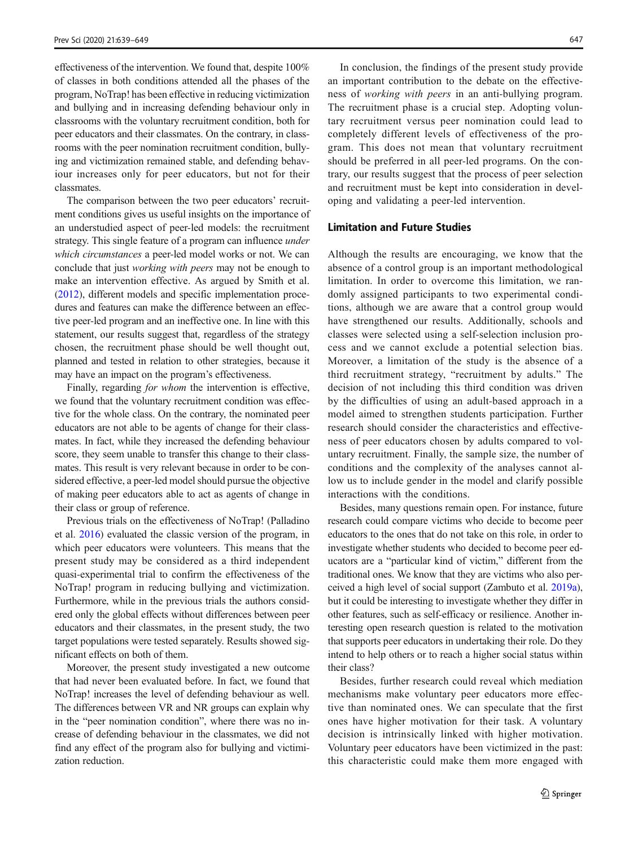effectiveness of the intervention. We found that, despite 100% of classes in both conditions attended all the phases of the program, NoTrap! has been effective in reducing victimization and bullying and in increasing defending behaviour only in classrooms with the voluntary recruitment condition, both for peer educators and their classmates. On the contrary, in classrooms with the peer nomination recruitment condition, bullying and victimization remained stable, and defending behaviour increases only for peer educators, but not for their classmates.

The comparison between the two peer educators' recruitment conditions gives us useful insights on the importance of an understudied aspect of peer-led models: the recruitment strategy. This single feature of a program can influence under which circumstances a peer-led model works or not. We can conclude that just working with peers may not be enough to make an intervention effective. As argued by Smith et al. [\(2012\)](#page-10-0), different models and specific implementation procedures and features can make the difference between an effective peer-led program and an ineffective one. In line with this statement, our results suggest that, regardless of the strategy chosen, the recruitment phase should be well thought out, planned and tested in relation to other strategies, because it may have an impact on the program's effectiveness.

Finally, regarding for whom the intervention is effective, we found that the voluntary recruitment condition was effective for the whole class. On the contrary, the nominated peer educators are not able to be agents of change for their classmates. In fact, while they increased the defending behaviour score, they seem unable to transfer this change to their classmates. This result is very relevant because in order to be considered effective, a peer-led model should pursue the objective of making peer educators able to act as agents of change in their class or group of reference.

Previous trials on the effectiveness of NoTrap! (Palladino et al. [2016\)](#page-10-0) evaluated the classic version of the program, in which peer educators were volunteers. This means that the present study may be considered as a third independent quasi-experimental trial to confirm the effectiveness of the NoTrap! program in reducing bullying and victimization. Furthermore, while in the previous trials the authors considered only the global effects without differences between peer educators and their classmates, in the present study, the two target populations were tested separately. Results showed significant effects on both of them.

Moreover, the present study investigated a new outcome that had never been evaluated before. In fact, we found that NoTrap! increases the level of defending behaviour as well. The differences between VR and NR groups can explain why in the "peer nomination condition", where there was no increase of defending behaviour in the classmates, we did not find any effect of the program also for bullying and victimization reduction.

In conclusion, the findings of the present study provide an important contribution to the debate on the effectiveness of working with peers in an anti-bullying program. The recruitment phase is a crucial step. Adopting voluntary recruitment versus peer nomination could lead to completely different levels of effectiveness of the program. This does not mean that voluntary recruitment should be preferred in all peer-led programs. On the contrary, our results suggest that the process of peer selection and recruitment must be kept into consideration in developing and validating a peer-led intervention.

# Limitation and Future Studies

Although the results are encouraging, we know that the absence of a control group is an important methodological limitation. In order to overcome this limitation, we randomly assigned participants to two experimental conditions, although we are aware that a control group would have strengthened our results. Additionally, schools and classes were selected using a self-selection inclusion process and we cannot exclude a potential selection bias. Moreover, a limitation of the study is the absence of a third recruitment strategy, "recruitment by adults." The decision of not including this third condition was driven by the difficulties of using an adult-based approach in a model aimed to strengthen students participation. Further research should consider the characteristics and effectiveness of peer educators chosen by adults compared to voluntary recruitment. Finally, the sample size, the number of conditions and the complexity of the analyses cannot allow us to include gender in the model and clarify possible interactions with the conditions.

Besides, many questions remain open. For instance, future research could compare victims who decide to become peer educators to the ones that do not take on this role, in order to investigate whether students who decided to become peer educators are a "particular kind of victim," different from the traditional ones. We know that they are victims who also perceived a high level of social support (Zambuto et al. [2019a\)](#page-10-0), but it could be interesting to investigate whether they differ in other features, such as self-efficacy or resilience. Another interesting open research question is related to the motivation that supports peer educators in undertaking their role. Do they intend to help others or to reach a higher social status within their class?

Besides, further research could reveal which mediation mechanisms make voluntary peer educators more effective than nominated ones. We can speculate that the first ones have higher motivation for their task. A voluntary decision is intrinsically linked with higher motivation. Voluntary peer educators have been victimized in the past: this characteristic could make them more engaged with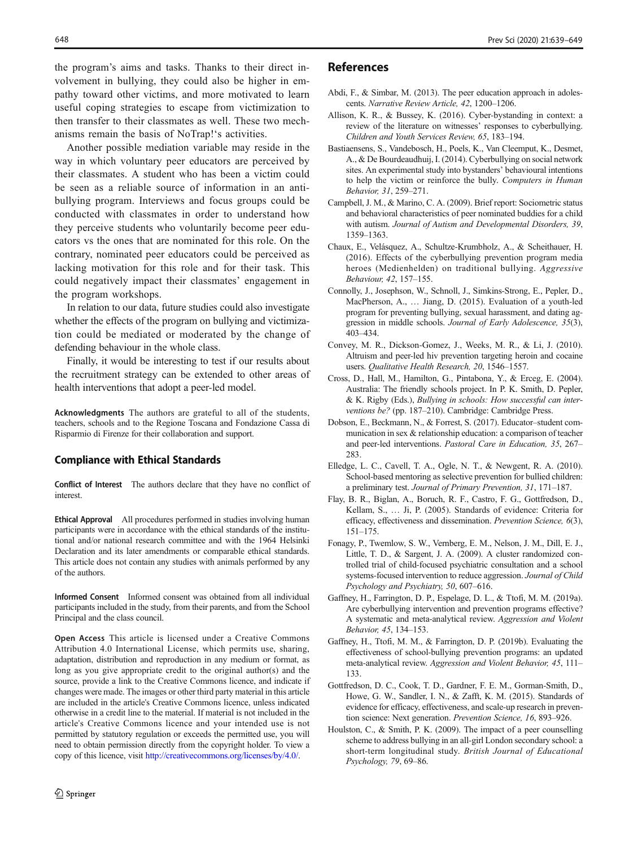<span id="page-9-0"></span>the program's aims and tasks. Thanks to their direct involvement in bullying, they could also be higher in empathy toward other victims, and more motivated to learn useful coping strategies to escape from victimization to then transfer to their classmates as well. These two mechanisms remain the basis of NoTrap!'s activities.

Another possible mediation variable may reside in the way in which voluntary peer educators are perceived by their classmates. A student who has been a victim could be seen as a reliable source of information in an antibullying program. Interviews and focus groups could be conducted with classmates in order to understand how they perceive students who voluntarily become peer educators vs the ones that are nominated for this role. On the contrary, nominated peer educators could be perceived as lacking motivation for this role and for their task. This could negatively impact their classmates' engagement in the program workshops.

In relation to our data, future studies could also investigate whether the effects of the program on bullying and victimization could be mediated or moderated by the change of defending behaviour in the whole class.

Finally, it would be interesting to test if our results about the recruitment strategy can be extended to other areas of health interventions that adopt a peer-led model.

Acknowledgments The authors are grateful to all of the students, teachers, schools and to the Regione Toscana and Fondazione Cassa di Risparmio di Firenze for their collaboration and support.

## Compliance with Ethical Standards

Conflict of Interest The authors declare that they have no conflict of interest.

Ethical Approval All procedures performed in studies involving human participants were in accordance with the ethical standards of the institutional and/or national research committee and with the 1964 Helsinki Declaration and its later amendments or comparable ethical standards. This article does not contain any studies with animals performed by any of the authors.

Informed Consent Informed consent was obtained from all individual participants included in the study, from their parents, and from the School Principal and the class council.

Open Access This article is licensed under a Creative Commons Attribution 4.0 International License, which permits use, sharing, adaptation, distribution and reproduction in any medium or format, as long as you give appropriate credit to the original author(s) and the source, provide a link to the Creative Commons licence, and indicate if changes were made. The images or other third party material in this article are included in the article's Creative Commons licence, unless indicated otherwise in a credit line to the material. If material is not included in the article's Creative Commons licence and your intended use is not permitted by statutory regulation or exceeds the permitted use, you will need to obtain permission directly from the copyright holder. To view a copy of this licence, visit <http://creativecommons.org/licenses/by/4.0/>.

# References

- Abdi, F., & Simbar, M. (2013). The peer education approach in adolescents. Narrative Review Article, 42, 1200–1206.
- Allison, K. R., & Bussey, K. (2016). Cyber-bystanding in context: a review of the literature on witnesses' responses to cyberbullying. Children and Youth Services Review, 65, 183–194.
- Bastiaensens, S., Vandebosch, H., Poels, K., Van Cleemput, K., Desmet, A., & De Bourdeaudhuij, I. (2014). Cyberbullying on social network sites. An experimental study into bystanders' behavioural intentions to help the victim or reinforce the bully. Computers in Human Behavior, 31, 259–271.
- Campbell, J. M., & Marino, C. A. (2009). Brief report: Sociometric status and behavioral characteristics of peer nominated buddies for a child with autism. Journal of Autism and Developmental Disorders, 39, 1359–1363.
- Chaux, E., Velásquez, A., Schultze-Krumbholz, A., & Scheithauer, H. (2016). Effects of the cyberbullying prevention program media heroes (Medienhelden) on traditional bullying. Aggressive Behaviour, 42, 157–155.
- Connolly, J., Josephson, W., Schnoll, J., Simkins-Strong, E., Pepler, D., MacPherson, A., … Jiang, D. (2015). Evaluation of a youth-led program for preventing bullying, sexual harassment, and dating aggression in middle schools. Journal of Early Adolescence, 35(3), 403–434.
- Convey, M. R., Dickson-Gomez, J., Weeks, M. R., & Li, J. (2010). Altruism and peer-led hiv prevention targeting heroin and cocaine users. Qualitative Health Research, 20, 1546–1557.
- Cross, D., Hall, M., Hamilton, G., Pintabona, Y., & Erceg, E. (2004). Australia: The friendly schools project. In P. K. Smith, D. Pepler, & K. Rigby (Eds.), Bullying in schools: How successful can interventions be? (pp. 187–210). Cambridge: Cambridge Press.
- Dobson, E., Beckmann, N., & Forrest, S. (2017). Educator–student communication in sex & relationship education: a comparison of teacher and peer-led interventions. Pastoral Care in Education, 35, 267– 283.
- Elledge, L. C., Cavell, T. A., Ogle, N. T., & Newgent, R. A. (2010). School-based mentoring as selective prevention for bullied children: a preliminary test. Journal of Primary Prevention, 31, 171–187.
- Flay, B. R., Biglan, A., Boruch, R. F., Castro, F. G., Gottfredson, D., Kellam, S., … Ji, P. (2005). Standards of evidence: Criteria for efficacy, effectiveness and dissemination. Prevention Science, 6(3), 151–175.
- Fonagy, P., Twemlow, S. W., Vernberg, E. M., Nelson, J. M., Dill, E. J., Little, T. D., & Sargent, J. A. (2009). A cluster randomized controlled trial of child-focused psychiatric consultation and a school systems-focused intervention to reduce aggression. Journal of Child Psychology and Psychiatry, 50, 607–616.
- Gaffney, H., Farrington, D. P., Espelage, D. L., & Ttofi, M. M. (2019a). Are cyberbullying intervention and prevention programs effective? A systematic and meta-analytical review. Aggression and Violent Behavior, 45, 134–153.
- Gaffney, H., Ttofi, M. M., & Farrington, D. P. (2019b). Evaluating the effectiveness of school-bullying prevention programs: an updated meta-analytical review. Aggression and Violent Behavior, 45, 111– 133.
- Gottfredson, D. C., Cook, T. D., Gardner, F. E. M., Gorman-Smith, D., Howe, G. W., Sandler, I. N., & Zafft, K. M. (2015). Standards of evidence for efficacy, effectiveness, and scale-up research in prevention science: Next generation. Prevention Science, 16, 893–926.
- Houlston, C., & Smith, P. K. (2009). The impact of a peer counselling scheme to address bullying in an all-girl London secondary school: a short-term longitudinal study. British Journal of Educational Psychology, 79, 69–86.